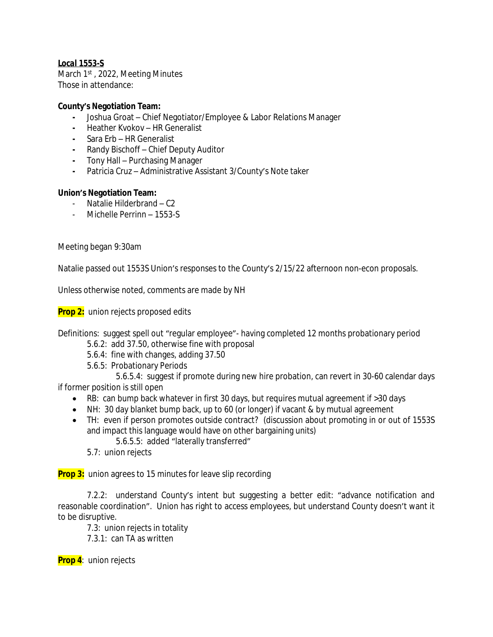### *Local 1553-S*

March 1<sup>st</sup>, 2022, Meeting Minutes Those in attendance:

### **County's Negotiation Team:**

- **-** Joshua Groat Chief Negotiator/Employee & Labor Relations Manager
- **-** Heather Kvokov HR Generalist
- **-** Sara Erb HR Generalist
- **-** Randy Bischoff Chief Deputy Auditor
- **-** Tony Hall Purchasing Manager
- **-** Patricia Cruz Administrative Assistant 3/County's Note taker

### **Union's Negotiation Team:**

- Natalie Hilderbrand C2
- Michelle Perrinn 1553-S

Meeting began 9:30am

Natalie passed out 1553S Union's responses to the County's 2/15/22 afternoon non-econ proposals.

Unless otherwise noted, comments are made by NH

**Prop 2:** union rejects proposed edits

Definitions: suggest spell out "regular employee"- having completed 12 months probationary period

- 5.6.2: add 37.50, otherwise fine with proposal
- 5.6.4: fine with changes, adding 37.50
- 5.6.5: Probationary Periods

5.6.5.4: suggest if promote during new hire probation, can revert in 30-60 calendar days if former position is still open

- RB: can bump back whatever in first 30 days, but requires mutual agreement if >30 days
- NH: 30 day blanket bump back, up to 60 (or longer) if vacant & by mutual agreement
- TH: even if person promotes outside contract? (discussion about promoting in or out of 1553S and impact this language would have on other bargaining units) 5.6.5.5: added "laterally transferred"
	- 5.7: union rejects

**Prop 3:** union agrees to 15 minutes for leave slip recording

7.2.2: understand County's intent but suggesting a better edit: "advance notification and reasonable coordination". Union has right to access employees, but understand County doesn't want it to be disruptive.

7.3: union rejects in totality

7.3.1: can TA as written

**Prop 4**: union rejects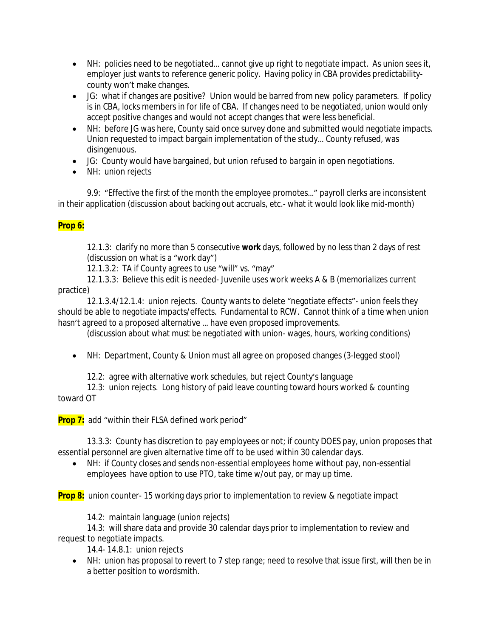- NH: policies need to be negotiated… cannot give up right to negotiate impact. As union sees it, employer just wants to reference generic policy. Having policy in CBA provides predictabilitycounty won't make changes.
- JG: what if changes are positive? Union would be barred from new policy parameters. If policy is in CBA, locks members in for life of CBA. If changes need to be negotiated, union would only accept positive changes and would not accept changes that were less beneficial.
- NH: before JG was here, County said once survey done and submitted would negotiate impacts. Union requested to impact bargain implementation of the study… County refused, was disingenuous.
- JG: County would have bargained, but union refused to bargain in open negotiations.
- NH: union rejects

9.9: "Effective the first of the month the employee promotes…" payroll clerks are inconsistent in their application (discussion about backing out accruals, etc.- what it would look like mid-month)

## **Prop 6:**

12.1.3: clarify no more than 5 consecutive **work** days, followed by no less than 2 days of rest (discussion on what is a "work day")

12.1.3.2: TA if County agrees to use "will" vs. "may"

12.1.3.3: Believe this edit is needed- Juvenile uses work weeks A & B (memorializes current practice)

12.1.3.4/12.1.4: union rejects. County wants to delete "negotiate effects"- union feels they should be able to negotiate impacts/effects. Fundamental to RCW. Cannot think of a time when union hasn't agreed to a proposed alternative … have even proposed improvements.

(discussion about what must be negotiated with union- wages, hours, working conditions)

NH: Department, County & Union must all agree on proposed changes (3-legged stool)

12.2: agree with alternative work schedules, but reject County's language

12.3: union rejects. Long history of paid leave counting toward hours worked & counting toward OT

**Prop 7:** add "within their FLSA defined work period"

13.3.3: County has discretion to pay employees or not; if county DOES pay, union proposes that essential personnel are given alternative time off to be used within 30 calendar days.

 NH: if County closes and sends non-essential employees home without pay, non-essential employees have option to use PTO, take time w/out pay, or may up time.

**Prop 8:** union counter- 15 working days prior to implementation to review & negotiate impact

14.2: maintain language (union rejects)

14.3: will share data and provide 30 calendar days prior to implementation to review and request to negotiate impacts.

14.4- 14.8.1: union rejects

• NH: union has proposal to revert to 7 step range; need to resolve that issue first, will then be in a better position to wordsmith.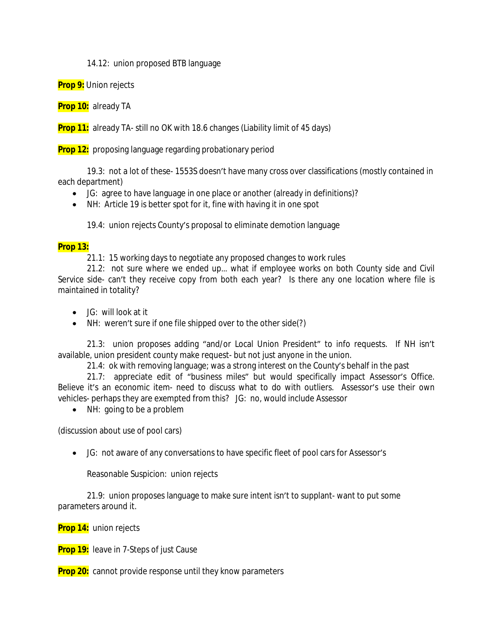14.12: union proposed BTB language

**Prop 9:** Union rejects

**Prop 10:** already TA

**Prop 11:** already TA- still no OK with 18.6 changes (Liability limit of 45 days)

**Prop 12:** proposing language regarding probationary period

19.3: not a lot of these- 1553S doesn't have many cross over classifications (mostly contained in each department)

- JG: agree to have language in one place or another (already in definitions)?
- NH: Article 19 is better spot for it, fine with having it in one spot

19.4: union rejects County's proposal to eliminate demotion language

### **Prop 13:**

21.1: 15 working days to negotiate any proposed changes to work rules

21.2: not sure where we ended up… what if employee works on both County side and Civil Service side- can't they receive copy from both each year? Is there any one location where file is maintained in totality?

- JG: will look at it
- NH: weren't sure if one file shipped over to the other side(?)

21.3: union proposes adding "and/or Local Union President" to info requests. If NH isn't available, union president county make request- but not just anyone in the union.

21.4: ok with removing language; was a strong interest on the County's behalf in the past

21.7: appreciate edit of "business miles" but would specifically impact Assessor's Office. Believe it's an economic item- need to discuss what to do with outliers. Assessor's use their own vehicles- perhaps they are exempted from this? JG: no, would include Assessor

• NH: going to be a problem

(discussion about use of pool cars)

JG: not aware of any conversations to have specific fleet of pool cars for Assessor's

Reasonable Suspicion: union rejects

21.9: union proposes language to make sure intent isn't to supplant- want to put some parameters around it.

**Prop 14:** union rejects

**Prop 19:** leave in 7-Steps of just Cause

**Prop 20:** cannot provide response until they know parameters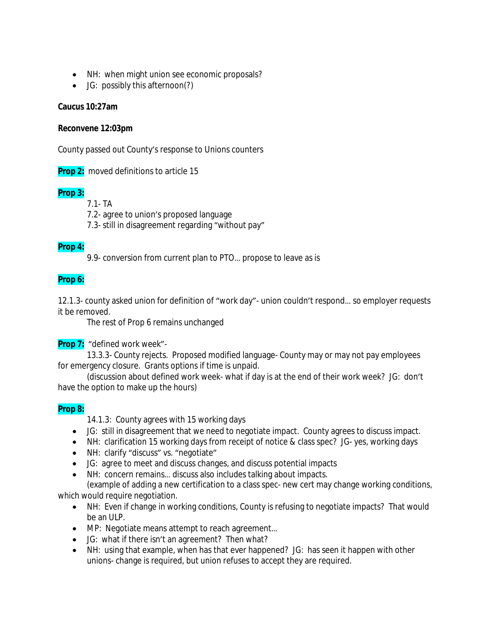- NH: when might union see economic proposals?
- JG: possibly this afternoon(?)

#### **Caucus 10:27am**

#### **Reconvene 12:03pm**

County passed out County's response to Unions counters

**Prop 2:** moved definitions to article 15

### **Prop 3:**

7.1- TA

7.2- agree to union's proposed language

7.3- still in disagreement regarding "without pay"

### **Prop 4:**

9.9- conversion from current plan to PTO… propose to leave as is

### **Prop 6:**

12.1.3- county asked union for definition of "work day"- union couldn't respond… so employer requests it be removed.

The rest of Prop 6 remains unchanged

**Prop 7:** "defined work week"-

13.3.3- County rejects. Proposed modified language- County may or may not pay employees for emergency closure. Grants options if time is unpaid.

(discussion about defined work week- what if day is at the end of their work week? JG: don't have the option to make up the hours)

### **Prop 8:**

14.1.3: County agrees with 15 working days

- JG: still in disagreement that we need to negotiate impact. County agrees to discuss impact.
- NH: clarification 15 working days from receipt of notice & class spec? JG- yes, working days
- NH: clarify "discuss" vs. "negotiate"
- JG: agree to meet and discuss changes, and discuss potential impacts
- NH: concern remains… discuss also includes talking about impacts.

(example of adding a new certification to a class spec- new cert may change working conditions, which would require negotiation.

- NH: Even if change in working conditions, County is refusing to negotiate impacts? That would be an ULP.
- MP: Negotiate means attempt to reach agreement...
- JG: what if there isn't an agreement? Then what?
- NH: using that example, when has that ever happened? JG: has seen it happen with other unions- change is required, but union refuses to accept they are required.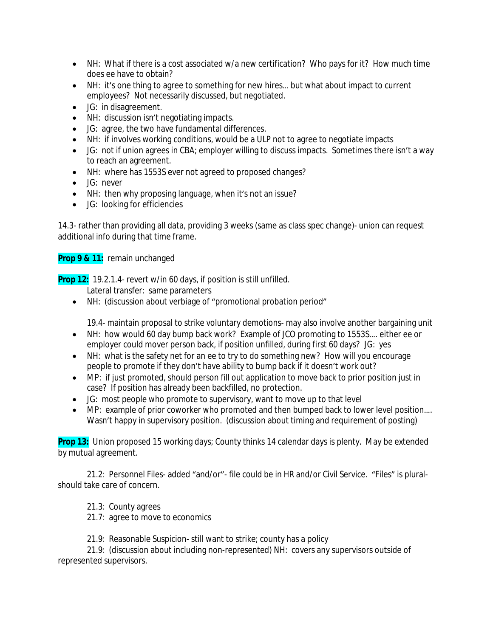- NH: What if there is a cost associated w/a new certification? Who pays for it? How much time does ee have to obtain?
- NH: it's one thing to agree to something for new hires... but what about impact to current employees? Not necessarily discussed, but negotiated.
- JG: in disagreement.
- NH: discussion isn't negotiating impacts.
- JG: agree, the two have fundamental differences.
- NH: if involves working conditions, would be a ULP not to agree to negotiate impacts
- JG: not if union agrees in CBA; employer willing to discuss impacts. Sometimes there isn't a way to reach an agreement.
- NH: where has 1553S ever not agreed to proposed changes?
- JG: never
- NH: then why proposing language, when it's not an issue?
- JG: looking for efficiencies

14.3- rather than providing all data, providing 3 weeks (same as class spec change)- union can request additional info during that time frame.

## **Prop 9 & 11:** remain unchanged

**Prop 12:** 19.2.1.4- revert w/in 60 days, if position is still unfilled.

Lateral transfer: same parameters

NH: (discussion about verbiage of "promotional probation period"

19.4- maintain proposal to strike voluntary demotions- may also involve another bargaining unit

- NH: how would 60 day bump back work? Example of JCO promoting to 1553S…. either ee or employer could mover person back, if position unfilled, during first 60 days? JG: yes
- NH: what is the safety net for an ee to try to do something new? How will you encourage people to promote if they don't have ability to bump back if it doesn't work out?
- MP: if just promoted, should person fill out application to move back to prior position just in case? If position has already been backfilled, no protection.
- JG: most people who promote to supervisory, want to move up to that level
- MP: example of prior coworker who promoted and then bumped back to lower level position.... Wasn't happy in supervisory position. (discussion about timing and requirement of posting)

**Prop 13:** Union proposed 15 working days; County thinks 14 calendar days is plenty. May be extended by mutual agreement.

21.2: Personnel Files- added "and/or"- file could be in HR and/or Civil Service. "Files" is pluralshould take care of concern.

- 21.3: County agrees
- 21.7: agree to move to economics

21.9: Reasonable Suspicion- still want to strike; county has a policy

21.9: (discussion about including non-represented) NH: covers any supervisors outside of represented supervisors.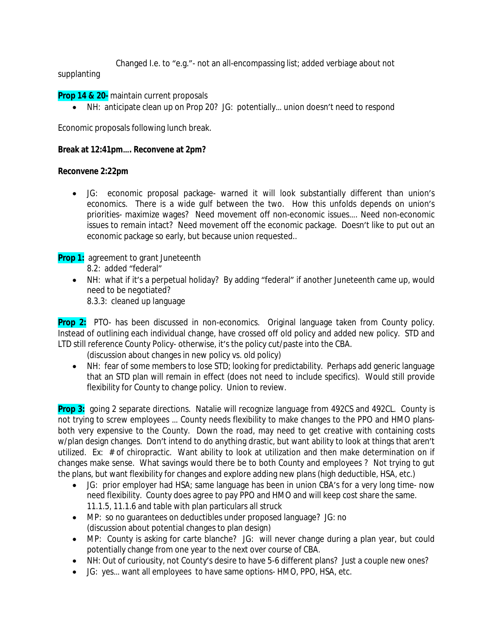Changed I.e. to "e.g."- not an all-encompassing list; added verbiage about not

supplanting

**Prop 14 & 20-** maintain current proposals

NH: anticipate clean up on Prop 20? JG: potentially… union doesn't need to respond

Economic proposals following lunch break.

### **Break at 12:41pm…. Reconvene at 2pm?**

### **Reconvene 2:22pm**

 JG: economic proposal package- warned it will look substantially different than union's economics. There is a wide gulf between the two. How this unfolds depends on union's priorities- maximize wages? Need movement off non-economic issues…. Need non-economic issues to remain intact? Need movement off the economic package. Doesn't like to put out an economic package so early, but because union requested..

**Prop 1:** agreement to grant Juneteenth

- 8.2: added "federal"
- NH: what if it's a perpetual holiday? By adding "federal" if another Juneteenth came up, would need to be negotiated?

8.3.3: cleaned up language

**Prop 2:** PTO- has been discussed in non-economics. Original language taken from County policy. Instead of outlining each individual change, have crossed off old policy and added new policy. STD and LTD still reference County Policy- otherwise, it's the policy cut/paste into the CBA.

(discussion about changes in new policy vs. old policy)

• NH: fear of some members to lose STD; looking for predictability. Perhaps add generic language that an STD plan will remain in effect (does not need to include specifics). Would still provide flexibility for County to change policy. Union to review.

**Prop 3:** going 2 separate directions. Natalie will recognize language from 492CS and 492CL. County is not trying to screw employees … County needs flexibility to make changes to the PPO and HMO plansboth very expensive to the County. Down the road, may need to get creative with containing costs w/plan design changes. Don't intend to do anything drastic, but want ability to look at things that aren't utilized. Ex: # of chiropractic. Want ability to look at utilization and then make determination on if changes make sense. What savings would there be to both County and employees ? Not trying to gut the plans, but want flexibility for changes and explore adding new plans (high deductible, HSA, etc.)

- JG: prior employer had HSA; same language has been in union CBA's for a very long time- now need flexibility. County does agree to pay PPO and HMO and will keep cost share the same. 11.1.5, 11.1.6 and table with plan particulars all struck
- MP: so no guarantees on deductibles under proposed language? JG: no (discussion about potential changes to plan design)
- MP: County is asking for carte blanche? JG: will never change during a plan year, but could potentially change from one year to the next over course of CBA.
- NH: Out of curiousity, not County's desire to have 5-6 different plans? Just a couple new ones?
- JG: yes… want all employees to have same options- HMO, PPO, HSA, etc.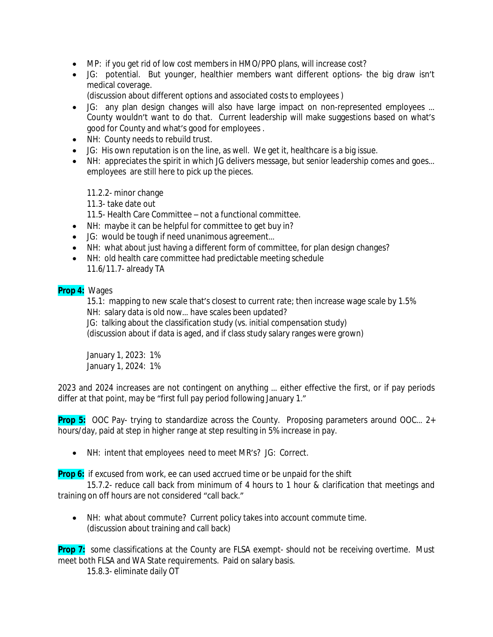- MP: if you get rid of low cost members in HMO/PPO plans, will increase cost?
- JG: potential. But younger, healthier members want different options- the big draw isn't medical coverage.

(discussion about different options and associated costs to employees )

- JG: any plan design changes will also have large impact on non-represented employees ... County wouldn't want to do that. Current leadership will make suggestions based on what's good for County and what's good for employees .
- NH: County needs to rebuild trust.
- JG: His own reputation is on the line, as well. We get it, healthcare is a big issue.
- NH: appreciates the spirit in which JG delivers message, but senior leadership comes and goes... employees are still here to pick up the pieces.

11.2.2- minor change

11.3- take date out

11.5- Health Care Committee – not a functional committee.

- NH: maybe it can be helpful for committee to get buy in?
- JG: would be tough if need unanimous agreement...
- NH: what about just having a different form of committee, for plan design changes?
- NH: old health care committee had predictable meeting schedule 11.6/11.7- already TA

### **Prop 4:** Wages

15.1: mapping to new scale that's closest to current rate; then increase wage scale by 1.5% NH: salary data is old now… have scales been updated? JG: talking about the classification study (vs. initial compensation study) (discussion about if data is aged, and if class study salary ranges were grown)

January 1, 2023: 1% January 1, 2024: 1%

2023 and 2024 increases are not contingent on anything … either effective the first, or if pay periods differ at that point, may be "first full pay period following January 1."

**Prop 5:** OOC Pay- trying to standardize across the County. Proposing parameters around OOC... 2+ hours/day, paid at step in higher range at step resulting in 5% increase in pay.

NH: intent that employees need to meet MR's? JG: Correct.

**Prop 6:** if excused from work, ee can used accrued time or be unpaid for the shift

15.7.2- reduce call back from minimum of 4 hours to 1 hour & clarification that meetings and training on off hours are not considered "call back."

 NH: what about commute? Current policy takes into account commute time. (discussion about training and call back)

**Prop 7:** some classifications at the County are FLSA exempt- should not be receiving overtime. Must meet both FLSA and WA State requirements. Paid on salary basis.

15.8.3- eliminate daily OT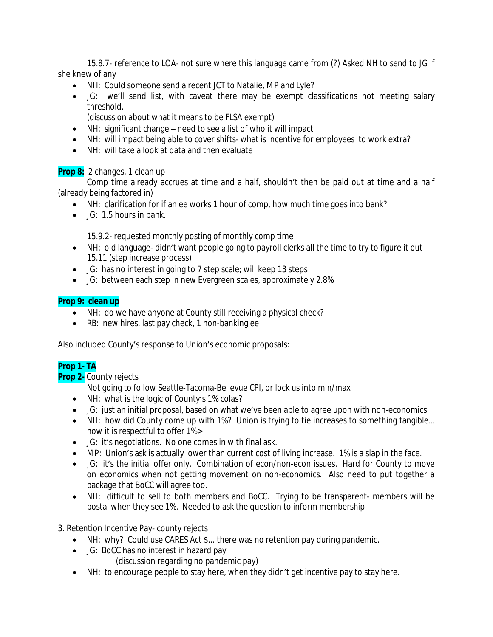15.8.7- reference to LOA- not sure where this language came from (?) Asked NH to send to JG if she knew of any

- NH: Could someone send a recent JCT to Natalie, MP and Lyle?
- JG: we'll send list, with caveat there may be exempt classifications not meeting salary threshold.

(discussion about what it means to be FLSA exempt)

- NH: significant change need to see a list of who it will impact
- NH: will impact being able to cover shifts- what is incentive for employees to work extra?
- NH: will take a look at data and then evaluate

## **Prop 8:** 2 changes, 1 clean up

Comp time already accrues at time and a half, shouldn't then be paid out at time and a half (already being factored in)

- NH: clarification for if an ee works 1 hour of comp, how much time goes into bank?
- JG: 1.5 hours in bank.

15.9.2- requested monthly posting of monthly comp time

- NH: old language- didn't want people going to payroll clerks all the time to try to figure it out 15.11 (step increase process)
- JG: has no interest in going to 7 step scale; will keep 13 steps
- JG: between each step in new Evergreen scales, approximately 2.8%

## **Prop 9: clean up**

- NH: do we have anyone at County still receiving a physical check?
- RB: new hires, last pay check, 1 non-banking ee

Also included County's response to Union's economic proposals:

# **Prop 1- TA**

## **Prop 2-** County rejects

Not going to follow Seattle-Tacoma-Bellevue CPI, or lock us into min/max

- NH: what is the logic of County's 1% colas?
- JG: just an initial proposal, based on what we've been able to agree upon with non-economics
- NH: how did County come up with 1%? Union is trying to tie increases to something tangible... how it is respectful to offer 1%>
- JG: it's negotiations. No one comes in with final ask.
- MP: Union's ask is actually lower than current cost of living increase. 1% is a slap in the face.
- JG: it's the initial offer only. Combination of econ/non-econ issues. Hard for County to move on economics when not getting movement on non-economics. Also need to put together a package that BoCC will agree too.
- NH: difficult to sell to both members and BoCC. Trying to be transparent- members will be postal when they see 1%. Needed to ask the question to inform membership

## 3. Retention Incentive Pay- county rejects

- NH: why? Could use CARES Act \$... there was no retention pay during pandemic.
- JG: BoCC has no interest in hazard pay
	- (discussion regarding no pandemic pay)
- NH: to encourage people to stay here, when they didn't get incentive pay to stay here.